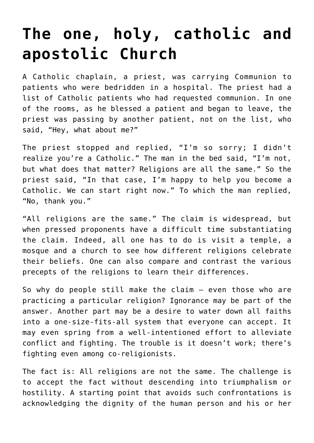# **[The one, holy, catholic and](https://www.osvnews.com/2017/01/15/the-one-holy-catholic-and-apostolic-church/) [apostolic Church](https://www.osvnews.com/2017/01/15/the-one-holy-catholic-and-apostolic-church/)**

A Catholic chaplain, a priest, was carrying Communion to patients who were bedridden in a hospital. The priest had a list of Catholic patients who had requested communion. In one of the rooms, as he blessed a patient and began to leave, the priest was passing by another patient, not on the list, who said, "Hey, what about me?"

The priest stopped and replied, "I'm so sorry; I didn't realize you're a Catholic." The man in the bed said, "I'm not, but what does that matter? Religions are all the same." So the priest said, "In that case, I'm happy to help you become a Catholic. We can start right now." To which the man replied, "No, thank you."

"All religions are the same." The claim is widespread, but when pressed proponents have a difficult time substantiating the claim. Indeed, all one has to do is visit a temple, a mosque and a church to see how different religions celebrate their beliefs. One can also compare and contrast the various precepts of the religions to learn their differences.

So why do people still make the claim — even those who are practicing a particular religion? Ignorance may be part of the answer. Another part may be a desire to water down all faiths into a one-size-fits-all system that everyone can accept. It may even spring from a well-intentioned effort to alleviate conflict and fighting. The trouble is it doesn't work; there's fighting even among co-religionists.

The fact is: All religions are not the same. The challenge is to accept the fact without descending into triumphalism or hostility. A starting point that avoids such confrontations is acknowledging the dignity of the human person and his or her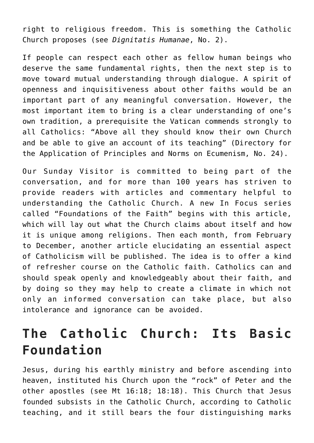right to religious freedom. This is something the Catholic Church proposes (see *Dignitatis Humanae*, No. 2).

If people can respect each other as fellow human beings who deserve the same fundamental rights, then the next step is to move toward mutual understanding through dialogue. A spirit of openness and inquisitiveness about other faiths would be an important part of any meaningful conversation. However, the most important item to bring is a clear understanding of one's own tradition, a prerequisite the Vatican commends strongly to all Catholics: "Above all they should know their own Church and be able to give an account of its teaching" (Directory for the Application of Principles and Norms on Ecumenism, No. 24).

Our Sunday Visitor is committed to being part of the conversation, and for more than 100 years has striven to provide readers with articles and commentary helpful to understanding the Catholic Church. A new In Focus series called "Foundations of the Faith" begins with this article, which will lay out what the Church claims about itself and how it is unique among religions. Then each month, from February to December, another article elucidating an essential aspect of Catholicism will be published. The idea is to offer a kind of refresher course on the Catholic faith. Catholics can and should speak openly and knowledgeably about their faith, and by doing so they may help to create a climate in which not only an informed conversation can take place, but also intolerance and ignorance can be avoided.

### **The Catholic Church: Its Basic Foundation**

Jesus, during his earthly ministry and before ascending into heaven, instituted his Church upon the "rock" of Peter and the other apostles (see Mt 16:18; 18:18). This Church that Jesus founded subsists in the Catholic Church, according to Catholic teaching, and it still bears the four distinguishing marks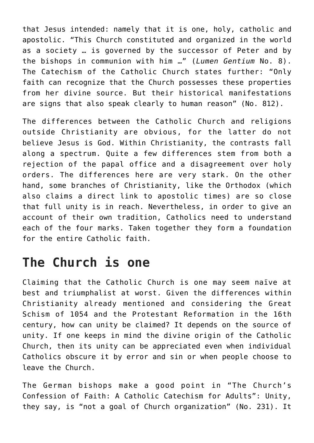that Jesus intended: namely that it is one, holy, catholic and apostolic. "This Church constituted and organized in the world as a society … is governed by the successor of Peter and by the bishops in communion with him …" (*Lumen Gentium* No. 8). The Catechism of the Catholic Church states further: "Only faith can recognize that the Church possesses these properties from her divine source. But their historical manifestations are signs that also speak clearly to human reason" (No. 812).

The differences between the Catholic Church and religions outside Christianity are obvious, for the latter do not believe Jesus is God. Within Christianity, the contrasts fall along a spectrum. Quite a few differences stem from both a rejection of the papal office and a disagreement over holy orders. The differences here are very stark. On the other hand, some branches of Christianity, like the Orthodox (which also claims a direct link to apostolic times) are so close that full unity is in reach. Nevertheless, in order to give an account of their own tradition, Catholics need to understand each of the four marks. Taken together they form a foundation for the entire Catholic faith.

### **The Church is one**

Claiming that the Catholic Church is one may seem naïve at best and triumphalist at worst. Given the differences within Christianity already mentioned and considering the Great Schism of 1054 and the Protestant Reformation in the 16th century, how can unity be claimed? It depends on the source of unity. If one keeps in mind the divine origin of the Catholic Church, then its unity can be appreciated even when individual Catholics obscure it by error and sin or when people choose to leave the Church.

The German bishops make a good point in "The Church's Confession of Faith: A Catholic Catechism for Adults": Unity, they say, is "not a goal of Church organization" (No. 231). It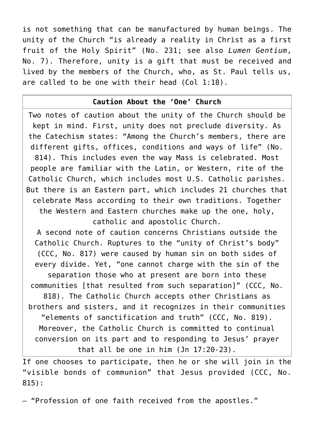is not something that can be manufactured by human beings. The unity of the Church "is already a reality in Christ as a first fruit of the Holy Spirit" (No. 231; see also *Lumen Gentium*, No. 7). Therefore, unity is a gift that must be received and lived by the members of the Church, who, as St. Paul tells us, are called to be one with their head (Col 1:18).

#### **Caution About the 'One' Church**

Two notes of caution about the unity of the Church should be kept in mind. First, unity does not preclude diversity. As the Catechism states: "Among the Church's members, there are different gifts, offices, conditions and ways of life" (No. 814). This includes even the way Mass is celebrated. Most people are familiar with the Latin, or Western, rite of the Catholic Church, which includes most U.S. Catholic parishes. But there is an Eastern part, which includes 21 churches that celebrate Mass according to their own traditions. Together the Western and Eastern churches make up the one, holy, catholic and apostolic Church. A second note of caution concerns Christians outside the Catholic Church. Ruptures to the "unity of Christ's body"

(CCC, No. 817) were caused by human sin on both sides of every divide. Yet, "one cannot charge with the sin of the separation those who at present are born into these communities [that resulted from such separation]" (CCC, No. 818). The Catholic Church accepts other Christians as brothers and sisters, and it recognizes in their communities "elements of sanctification and truth" (CCC, No. 819). Moreover, the Catholic Church is committed to continual conversion on its part and to responding to Jesus' prayer that all be one in him (Jn 17:20-23).

If one chooses to participate, then he or she will join in the "visible bonds of communion" that Jesus provided (CCC, No. 815):

— "Profession of one faith received from the apostles."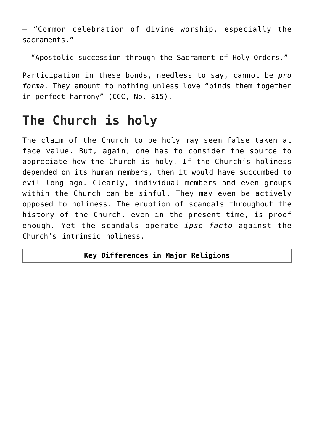— "Common celebration of divine worship, especially the sacraments."

— "Apostolic succession through the Sacrament of Holy Orders."

Participation in these bonds, needless to say, cannot be *pro forma*. They amount to nothing unless love "binds them together in perfect harmony" (CCC, No. 815).

## **The Church is holy**

The claim of the Church to be holy may seem false taken at face value. But, again, one has to consider the source to appreciate how the Church is holy. If the Church's holiness depended on its human members, then it would have succumbed to evil long ago. Clearly, individual members and even groups within the Church can be sinful. They may even be actively opposed to holiness. The eruption of scandals throughout the history of the Church, even in the present time, is proof enough. Yet the scandals operate *ipso facto* against the Church's intrinsic holiness.

#### **Key Differences in Major Religions**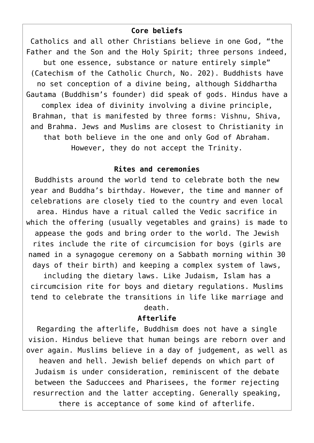#### **Core beliefs**

Catholics and all other Christians believe in one God, "the Father and the Son and the Holy Spirit; three persons indeed, but one essence, substance or nature entirely simple" (Catechism of the Catholic Church, No. 202). Buddhists have no set conception of a divine being, although Siddhartha Gautama (Buddhism's founder) did speak of gods. Hindus have a complex idea of divinity involving a divine principle, Brahman, that is manifested by three forms: Vishnu, Shiva, and Brahma. Jews and Muslims are closest to Christianity in that both believe in the one and only God of Abraham. However, they do not accept the Trinity.

#### **Rites and ceremonies**

Buddhists around the world tend to celebrate both the new year and Buddha's birthday. However, the time and manner of celebrations are closely tied to the country and even local area. Hindus have a ritual called the Vedic sacrifice in which the offering (usually vegetables and grains) is made to appease the gods and bring order to the world. The Jewish rites include the rite of circumcision for boys (girls are named in a synagogue ceremony on a Sabbath morning within 30 days of their birth) and keeping a complex system of laws, including the dietary laws. Like Judaism, Islam has a circumcision rite for boys and dietary regulations. Muslims tend to celebrate the transitions in life like marriage and death.

#### **Afterlife**

Regarding the afterlife, Buddhism does not have a single vision. Hindus believe that human beings are reborn over and over again. Muslims believe in a day of judgement, as well as heaven and hell. Jewish belief depends on which part of Judaism is under consideration, reminiscent of the debate between the Saduccees and Pharisees, the former rejecting resurrection and the latter accepting. Generally speaking, there is acceptance of some kind of afterlife.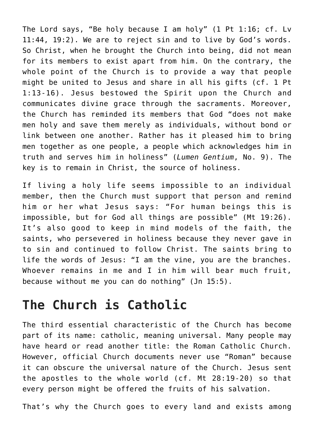The Lord says, "Be holy because I am holy" (1 Pt 1:16; cf. Lv 11:44, 19:2). We are to reject sin and to live by God's words. So Christ, when he brought the Church into being, did not mean for its members to exist apart from him. On the contrary, the whole point of the Church is to provide a way that people might be united to Jesus and share in all his gifts (cf. 1 Pt 1:13-16). Jesus bestowed the Spirit upon the Church and communicates divine grace through the sacraments. Moreover, the Church has reminded its members that God "does not make men holy and save them merely as individuals, without bond or link between one another. Rather has it pleased him to bring men together as one people, a people which acknowledges him in truth and serves him in holiness" (*Lumen Gentium*, No. 9). The key is to remain in Christ, the source of holiness.

If living a holy life seems impossible to an individual member, then the Church must support that person and remind him or her what Jesus says: "For human beings this is impossible, but for God all things are possible" (Mt 19:26). It's also good to keep in mind models of the faith, the saints, who persevered in holiness because they never gave in to sin and continued to follow Christ. The saints bring to life the words of Jesus: "I am the vine, you are the branches. Whoever remains in me and I in him will bear much fruit, because without me you can do nothing" (Jn 15:5).

### **The Church is Catholic**

The third essential characteristic of the Church has become part of its name: catholic, meaning universal. Many people may have heard or read another title: the Roman Catholic Church. However, official Church documents never use "Roman" because it can obscure the universal nature of the Church. Jesus sent the apostles to the whole world (cf. Mt 28:19-20) so that every person might be offered the fruits of his salvation.

That's why the Church goes to every land and exists among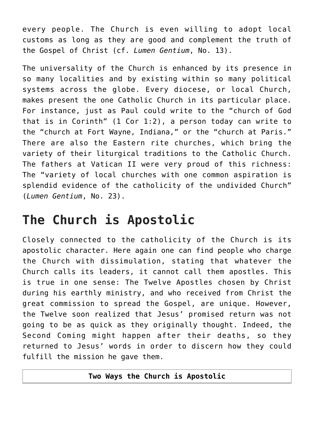every people. The Church is even willing to adopt local customs as long as they are good and complement the truth of the Gospel of Christ (cf. *Lumen Gentium*, No. 13).

The universality of the Church is enhanced by its presence in so many localities and by existing within so many political systems across the globe. Every diocese, or local Church, makes present the one Catholic Church in its particular place. For instance, just as Paul could write to the "church of God that is in Corinth" (1 Cor 1:2), a person today can write to the "church at Fort Wayne, Indiana," or the "church at Paris." There are also the Eastern rite churches, which bring the variety of their liturgical traditions to the Catholic Church. The fathers at Vatican II were very proud of this richness: The "variety of local churches with one common aspiration is splendid evidence of the catholicity of the undivided Church" (*Lumen Gentium*, No. 23).

### **The Church is Apostolic**

Closely connected to the catholicity of the Church is its apostolic character. Here again one can find people who charge the Church with dissimulation, stating that whatever the Church calls its leaders, it cannot call them apostles. This is true in one sense: The Twelve Apostles chosen by Christ during his earthly ministry, and who received from Christ the great commission to spread the Gospel, are unique. However, the Twelve soon realized that Jesus' promised return was not going to be as quick as they originally thought. Indeed, the Second Coming might happen after their deaths, so they returned to Jesus' words in order to discern how they could fulfill the mission he gave them.

**Two Ways the Church is Apostolic**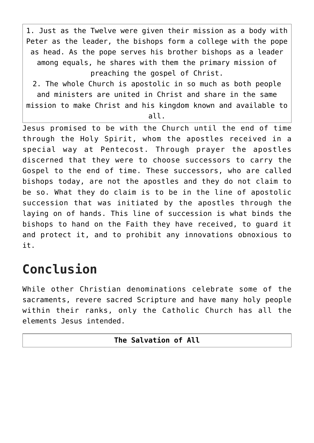1. Just as the Twelve were given their mission as a body with Peter as the leader, the bishops form a college with the pope as head. As the pope serves his brother bishops as a leader among equals, he shares with them the primary mission of preaching the gospel of Christ.

2. The whole Church is apostolic in so much as both people and ministers are united in Christ and share in the same mission to make Christ and his kingdom known and available to all.

Jesus promised to be with the Church until the end of time through the Holy Spirit, whom the apostles received in a special way at Pentecost. Through prayer the apostles discerned that they were to choose successors to carry the Gospel to the end of time. These successors, who are called bishops today, are not the apostles and they do not claim to be so. What they do claim is to be in the line of apostolic succession that was initiated by the apostles through the laying on of hands. This line of succession is what binds the bishops to hand on the Faith they have received, to guard it and protect it, and to prohibit any innovations obnoxious to it.

# **Conclusion**

While other Christian denominations celebrate some of the sacraments, revere sacred Scripture and have many holy people within their ranks, only the Catholic Church has all the elements Jesus intended.

#### **The Salvation of All**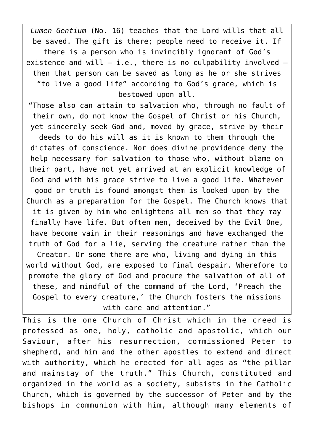*Lumen Gentium* (No. 16) teaches that the Lord wills that all be saved. The gift is there; people need to receive it. If there is a person who is invincibly ignorant of God's existence and will  $-$  i.e., there is no culpability involved  $$ then that person can be saved as long as he or she strives "to live a good life" according to God's grace, which is bestowed upon all.

"Those also can attain to salvation who, through no fault of their own, do not know the Gospel of Christ or his Church, yet sincerely seek God and, moved by grace, strive by their deeds to do his will as it is known to them through the dictates of conscience. Nor does divine providence deny the help necessary for salvation to those who, without blame on their part, have not yet arrived at an explicit knowledge of God and with his grace strive to live a good life. Whatever good or truth is found amongst them is looked upon by the Church as a preparation for the Gospel. The Church knows that it is given by him who enlightens all men so that they may finally have life. But often men, deceived by the Evil One, have become vain in their reasonings and have exchanged the truth of God for a lie, serving the creature rather than the Creator. Or some there are who, living and dying in this world without God, are exposed to final despair. Wherefore to promote the glory of God and procure the salvation of all of these, and mindful of the command of the Lord, 'Preach the Gospel to every creature,' the Church fosters the missions with care and attention."

This is the one Church of Christ which in the creed is professed as one, holy, catholic and apostolic, which our Saviour, after his resurrection, commissioned Peter to shepherd, and him and the other apostles to extend and direct with authority, which he erected for all ages as "the pillar and mainstay of the truth." This Church, constituted and organized in the world as a society, subsists in the Catholic Church, which is governed by the successor of Peter and by the bishops in communion with him, although many elements of